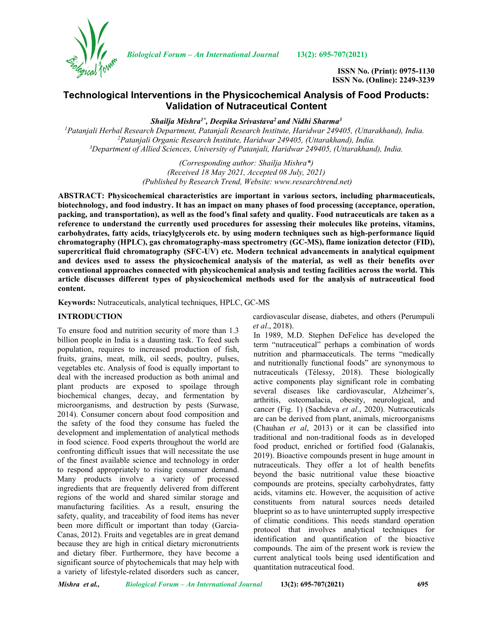

*Biological Forum – An International Journal* **13(2): 695-707(2021)**

**ISSN No. (Print): 0975-1130 ISSN No. (Online): 2249-3239**

# **Technological Interventions in the Physicochemical Analysis of Food Products: Validation of Nutraceutical Content**

*Shailja Mishra1\*, Deepika Srivastava2 and Nidhi Sharma3*

*1 Patanjali Herbal Research Department, Patanjali Research Institute, Haridwar 249405, (Uttarakhand), India. 2 Patanjali Organic Research Institute, Haridwar 249405, (Uttarakhand), India. 3 Department of Allied Sciences, University of Patanjali, Haridwar 249405, (Uttarakhand), India.*

> *(Corresponding author: Shailja Mishra\*) (Received 18 May 2021, Accepted 08 July, 2021) (Published by Research Trend, Website: [www.researchtrend.net\)](http://www.researchtrend.net/)*

**ABSTRACT: Physicochemical characteristics are important in various sectors, including pharmaceuticals, biotechnology, and food industry. It has an impact on many phases of food processing (acceptance, operation, packing, and transportation), as well as the food's final safety and quality. Food nutraceuticals are taken as a reference to understand the currently used procedures for assessing their molecules like proteins, vitamins, carbohydrates, fatty acids, triacylglycerols etc. by using modern techniques such as high-performance liquid chromatography (HPLC), gas chromatography-mass spectrometry (GC-MS), flame ionization detector (FID), supercritical fluid chromatography (SFC-UV) etc. Modern technical advancements in analytical equipment and devices used to assess the physicochemical analysis of the material, as well as their benefits over conventional approaches connected with physicochemical analysis and testing facilities across the world. This article discusses different types of physicochemical methods used for the analysis of nutraceutical food content.**

**Keywords:** Nutraceuticals, analytical techniques, HPLC, GC-MS

#### **INTRODUCTION**

To ensure food and nutrition security of more than 1.3 billion people in India is a daunting task. To feed such population, requires to increased production of fish, fruits, grains, meat, milk, oil seeds, poultry, pulses, vegetables etc. Analysis of food is equally important to deal with the increased production as both animal and plant products are exposed to spoilage through biochemical changes, decay, and fermentation by microorganisms, and destruction by pests (Surwase, 2014). Consumer concern about food composition and the safety of the food they consume has fueled the development and implementation of analytical methods in food science. Food experts throughout the world are confronting difficult issues that will necessitate the use of the finest available science and technology in order to respond appropriately to rising consumer demand. Many products involve a variety of processed ingredients that are frequently delivered from different regions of the world and shared similar storage and manufacturing facilities. As a result, ensuring the safety, quality, and traceability of food items has never been more difficult or important than today (Garcia-Canas, 2012). Fruits and vegetables are in great demand because they are high in critical dietary micronutrients and dietary fiber. Furthermore, they have become a significant source of phytochemicals that may help with a variety of lifestyle-related disorders such as cancer,

cardiovascular disease, diabetes, and others (Perumpuli *et al*., 2018).

In 1989, M.D. Stephen DeFelice has developed the term "nutraceutical" perhaps a combination of words nutrition and pharmaceuticals. The terms "medically and nutritionally functional foods" are synonymous to nutraceuticals (Télessy, 2018). These biologically active components play significant role in combating several diseases like cardiovascular, Alzheimer's, arthritis, osteomalacia, obesity, neurological, and cancer (Fig. 1) (Sachdeva *et al*., 2020). Nutraceuticals are can be derived from plant, animals, microorganisms (Chauhan *et al*, 2013) or it can be classified into traditional and non-traditional foods as in developed food product, enriched or fortified food (Galanakis, 2019). Bioactive compounds present in huge amount in nutraceuticals. They offer a lot of health benefits beyond the basic nutritional value these bioactive compounds are proteins, specialty carbohydrates, fatty acids, vitamins etc. However, the acquisition of active constituents from natural sources needs detailed blueprint so as to have uninterrupted supply irrespective of climatic conditions. This needs standard operation protocol that involves analytical techniques for identification and quantification of the bioactive compounds. The aim of the present work is review the current analytical tools being used identification and quantitation nutraceutical food.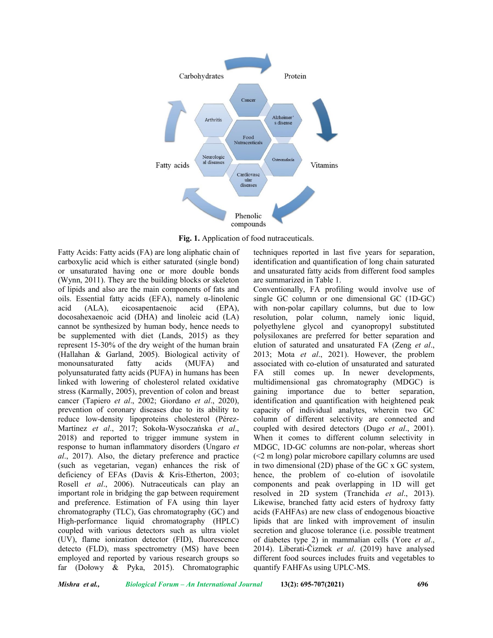

**Fig. 1.** Application of food nutraceuticals.

Fatty Acids: Fatty acids (FA) are long aliphatic chain of carboxylic acid which is either saturated (single bond) or unsaturated having one or more double bonds (Wynn, 2011). They are the building blocks or skeleton of lipids and also are the main components of fats and oils. Essential fatty acids (EFA), namely  $\alpha$ -linolenic acid (ALA), eicosapentaenoic acid (EPA), docosahexaenoic acid (DHA) and linoleic acid (LA) cannot be synthesized by human body, hence needs to be supplemented with diet (Lands, 2015) as they represent 15-30% of the dry weight of the human brain (Hallahan & Garland, 2005). Biological activity of monounsaturated fatty acids (MUFA) and polyunsaturated fatty acids (PUFA) in humans has been linked with lowering of cholesterol related oxidative stress (Karmally, 2005), prevention of colon and breast cancer (Tapiero *et al*., 2002; Giordano *et al*., 2020), prevention of coronary diseases due to its ability to reduce low-density lipoproteins cholesterol (Pérez-Martínez *et al*., 2017; Sokoła-Wysoczańska *et al*., 2018) and reported to trigger immune system in response to human inflammatory disorders (Ungaro *et al*., 2017). Also, the dietary preference and practice (such as vegetarian, vegan) enhances the risk of deficiency of EFAs (Davis & Kris-Etherton, 2003; Rosell *et al*., 2006). Nutraceuticals can play an important role in bridging the gap between requirement and preference. Estimation of FA using thin layer chromatography (TLC), Gas chromatography (GC) and High-performance liquid chromatography (HPLC) coupled with various detectors such as ultra violet (UV), flame ionization detector (FID), fluorescence detecto (FLD), mass spectrometry (MS) have been employed and reported by various research groups so far (Dołowy & Pyka, 2015). Chromatographic

techniques reported in last five years for separation, identification and quantification of long chain saturated and unsaturated fatty acids from different food samples are summarized in Table 1.

Conventionally, FA profiling would involve use of single GC column or one dimensional GC (1D-GC) with non-polar capillary columns, but due to low resolution, polar column, namely ionic liquid, polyethylene glycol and cyanopropyl substituted polysiloxanes are preferred for better separation and elution of saturated and unsaturated FA (Zeng *et al*., 2013; Mota *et al*., 2021). However, the problem associated with co-elution of unsaturated and saturated FA still comes up. In newer developments, multidimensional gas chromatography (MDGC) is gaining importance due to better separation, identification and quantification with heightened peak capacity of individual analytes, wherein two GC column of different selectivity are connected and coupled with desired detectors (Dugo *et al*., 2001). When it comes to different column selectivity in MDGC, 1D-GC columns are non-polar, whereas short (<2 m long) polar microbore capillary columns are used in two dimensional (2D) phase of the GC x GC system, hence, the problem of co-elution of isovolatile components and peak overlapping in 1D will get resolved in 2D system (Tranchida *et al*., 2013). Likewise, branched fatty acid esters of hydroxy fatty acids (FAHFAs) are new class of endogenous bioactive lipids that are linked with improvement of insulin secretion and glucose tolerance (i.e. possible treatment of diabetes type 2) in mammalian cells (Yore *et al*., 2014). Liberati-Čizmek *et al*. (2019) have analysed different food sources includes fruits and vegetables to quantify FAHFAs using UPLC-MS.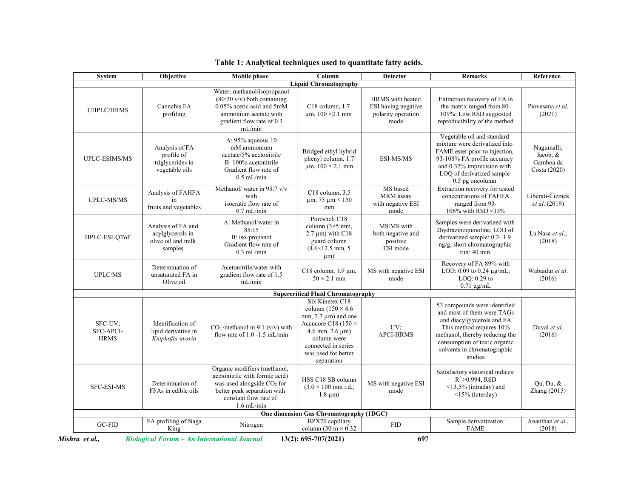| <b>System</b>                       | Objective                                                                                                                                                            | Mobile phase                                                                                                                                                           | Column                                                                                                                                                                                                        | <b>Detector</b>                                                       | <b>Remarks</b>                                                                                                                                                                                                                   | Reference                                             |
|-------------------------------------|----------------------------------------------------------------------------------------------------------------------------------------------------------------------|------------------------------------------------------------------------------------------------------------------------------------------------------------------------|---------------------------------------------------------------------------------------------------------------------------------------------------------------------------------------------------------------|-----------------------------------------------------------------------|----------------------------------------------------------------------------------------------------------------------------------------------------------------------------------------------------------------------------------|-------------------------------------------------------|
|                                     |                                                                                                                                                                      |                                                                                                                                                                        | <b>Liquid Chromatography</b>                                                                                                                                                                                  |                                                                       |                                                                                                                                                                                                                                  |                                                       |
| <b>UHPLC/HRMS</b>                   | Cannabis FA<br>profiling                                                                                                                                             | Water: methanol/isopropanol<br>$(80:20 \text{ v/v})$ both containing<br>0.05% acetic acid and 5mM<br>ammonium acetate with<br>gradient flow rate of 0.3<br>mL/min      | C18 column, 1.7<br>$\mu$ m, 100 ×2.1 mm                                                                                                                                                                       | HRMS with heated<br>ESI having negative<br>polarity operation<br>mode | Extraction recovery of FA in<br>the matrix ranged from 80-<br>109%; Low RSD suggested<br>reproducibility of the method                                                                                                           | Piovesana et al.<br>(2021)                            |
| UPLC-ESIMS/MS                       | Analysis of FA<br>profile of<br>triglycerides in<br>vegetable oils                                                                                                   | A: 95% aqueous 10<br>mM ammonium<br>acetate/5% acetonitrile<br>B: 100% acetonitrile<br>Gradient flow rate of<br>$0.5$ mL/min                                           | Bridged ethyl hybrid<br>phenyl column, 1.7<br>$\mu$ m, 100 × 2.1 mm                                                                                                                                           | ESI-MS/MS                                                             | Vegetable oil and standard<br>mixture were derivatized into<br>FAME ester prior to injection,<br>93-108% FA profile accuracy<br>and 0.32% imprecision with<br>LOQ of derivatized sample<br>0.5 pg oncolumn                       | Nagumalli,<br>Jacob, $&$<br>Gamboa da<br>Costa (2020) |
| <b>UPLC-MS/MS</b>                   | Analysis of FAHFA<br>in<br>fruits and vegetables                                                                                                                     | Methanol/ water in 93:7 v/v<br>with<br>isocratic flow rate of<br>$0.7$ mL/min                                                                                          | $C18$ column, $3.5$<br>$\mu$ m, 75 $\mu$ m × 150<br>mm                                                                                                                                                        | MS based<br>MRM assay<br>with negative ESI<br>mode                    | Extraction recovery for tested<br>concentrations of FAHFA<br>ranged from 93-<br>106% with RSD <15%                                                                                                                               | Liberati-Čizmek<br><i>et al.</i> (2019)               |
| HPLC-ESI-OToF                       | A: Methanol/water in<br>Analysis of FA and<br>85:15<br>acylglycerols in<br>B: iso-propanol<br>olive oil and milk<br>Gradient flow rate of<br>samples<br>$0.3$ mL/min |                                                                                                                                                                        | Poroshell C18<br>column $(3\times5$ mm,<br>$2.7 \mu m$ ) with C18<br>guard column<br>$(4.6 \times 12.5$ mm, 5<br>$\mu$ m)                                                                                     | MS/MS with<br>both negative and<br>positive<br>ESI mode               | Samples were derivatized with<br>2hydrazinoquinoline, LOD of<br>derivatized sample: 0.2-1.9<br>ng/g, short chromatographic<br>run: 40 min                                                                                        | La Nasa et al.,<br>(2018)                             |
| <b>UPLC/MS</b>                      | Determination of<br>unsaturated FA in<br>Olive oil                                                                                                                   | Acetonitrile/water with<br>gradient flow rate of 1.5<br>mL/min                                                                                                         | C18 column, $1.9 \mu m$ ,<br>$50 \times 2.1$ mm                                                                                                                                                               | MS with negative ESI<br>mode                                          | Recovery of FA 89% with<br>LOD: 0.09 to 0.24 µg/mL;<br>LOO: 0.29 to<br>$0.71 \mu g/mL$                                                                                                                                           | Wabaidur et al.<br>(2016)                             |
|                                     |                                                                                                                                                                      |                                                                                                                                                                        | <b>Supercritical Fluid Chromatography</b>                                                                                                                                                                     |                                                                       |                                                                                                                                                                                                                                  |                                                       |
| SFC-UV;<br>SFC-APCI-<br><b>HRMS</b> | Identification of<br>lipid derivative in<br>Kniphofia uvaria                                                                                                         | $CO2/methanol$ in 9:1 (v/v) with<br>flow rate of $1.0 - 1.5$ mL/min                                                                                                    | Six Kinetex C18<br>column $(150 \times 4.6)$<br>mm, $2.7 \mu m$ ) and one<br>Accucore C18 (150 $\times$<br>$4.6$ mm, $2.6 \mu m$ )<br>column were<br>connected in series<br>was used for better<br>separation | UV;<br><b>APCI-HRMS</b>                                               | 53 compounds were identified<br>and most of them were TAGs<br>and diacylglycerols and FA<br>This method requires 10%<br>methanol, thereby reducing the<br>consumption of toxic organic<br>solvents in chromatographic<br>studies | Duval et al.<br>(2016)                                |
| <b>SFC-ESI-MS</b>                   | Determination of<br>FFAs in edible oils                                                                                                                              | Organic modifiers (methanol,<br>acetonitrile with formic acid)<br>was used alongside $CO2$ for<br>better peak separation with<br>constant flow rate of<br>$1.6$ mL/min | HSS C18 SB column<br>$(3.0 \times 100 \text{ mm i.d.})$<br>$1.8 \mu m$ )                                                                                                                                      | MS with negative ESI<br>mode                                          | Satisfactory statistical indices:<br>$R^2 > 0.994$ , RSD<br><13.5% (intraday) and<br>$\leq$ 15% (interday)                                                                                                                       | Ou, Du, $&$<br>Zhang (2015)                           |
|                                     |                                                                                                                                                                      |                                                                                                                                                                        | One dimension Gas Chromatography (1DGC)                                                                                                                                                                       |                                                                       |                                                                                                                                                                                                                                  |                                                       |
| $GC-FID$                            | FA profiling of Naga<br>King                                                                                                                                         | Nitrogen                                                                                                                                                               | BPX70 capillary<br>column (30 m $\times$ 0.32                                                                                                                                                                 | ${\rm FID}$                                                           | Sample derivatization:<br><b>FAME</b>                                                                                                                                                                                            | Ananthan et al.,<br>(2018)                            |

|  |  | Table 1: Analytical techniques used to quantitate fatty acids. |  |
|--|--|----------------------------------------------------------------|--|
|  |  |                                                                |  |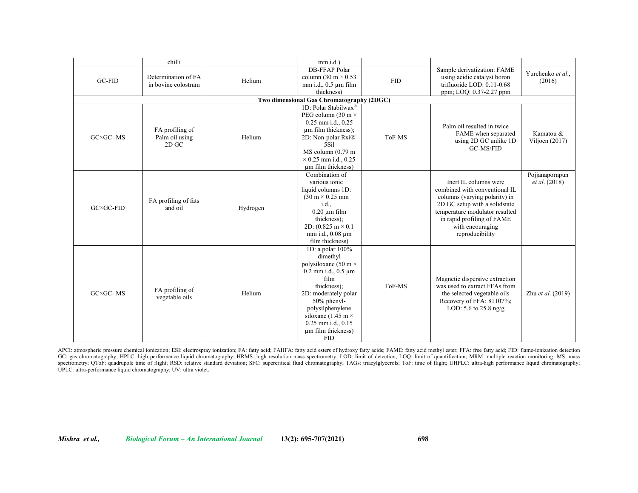|                       | chilli                                       |          | $mm$ i.d.)                                                                                                                                                                                                                                                             |            |                                                                                                                                                                                                                                   |                                        |
|-----------------------|----------------------------------------------|----------|------------------------------------------------------------------------------------------------------------------------------------------------------------------------------------------------------------------------------------------------------------------------|------------|-----------------------------------------------------------------------------------------------------------------------------------------------------------------------------------------------------------------------------------|----------------------------------------|
| GC-FID                | Determination of FA<br>in bovine colostrum   | Helium   | <b>DB-FFAP Polar</b><br>column (30 m $\times$ 0.53<br>$mm$ i.d., 0.5 $µm$ film<br>thickness)                                                                                                                                                                           | <b>FID</b> | Sample derivatization: FAME<br>using acidic catalyst boron<br>trifluoride LOD: $0.11-0.68$<br>ppm; LOQ: 0.37-2.27 ppm                                                                                                             | Yurchenko et al.,<br>(2016)            |
|                       |                                              |          | Two dimensional Gas Chromatography (2DGC)                                                                                                                                                                                                                              |            |                                                                                                                                                                                                                                   |                                        |
| $G C \times G C$ - MS | FA profiling of<br>Palm oil using<br>$2D$ GC | Helium   | 1D: Polar Stabilwax®<br>PEG column (30 m $\times$<br>$0.25$ mm i.d., $0.25$<br>um film thickness);<br>2D: Non-polar Rxi®<br>5Sil<br>$MS$ column $(0.79$ m<br>$\times$ 0.25 mm i.d., 0.25<br>um film thickness)                                                         | ToF-MS     | Palm oil resulted in twice<br>FAME when separated<br>using 2D GC unlike 1D<br><b>GC-MS/FID</b>                                                                                                                                    | Kamatou &<br>Viljoen (2017)            |
| $GC \times GC$ -FID   | FA profiling of fats<br>and oil              | Hydrogen | Combination of<br>various ionic<br>liquid columns 1D:<br>$(30 \text{ m} \times 0.25 \text{ mm})$<br>i.d.,<br>$0.20 \mu m$ film<br>thickness);<br>2D: $(0.825 \text{ m} \times 0.1)$<br>mm i.d., 0.08 µm<br>film thickness)                                             |            | Inert II, columns were<br>combined with conventional IL<br>columns (varying polarity) in<br>2D GC setup with a solid state<br>temperature modulator resulted<br>in rapid profiling of FAME<br>with encouraging<br>reproducibility | Pojjanapornpun<br><i>et al.</i> (2018) |
| $G C \times G C$ - MS | FA profiling of<br>vegetable oils            | Helium   | 1D: a polar 100%<br>dimethyl<br>polysiloxane (50 m $\times$<br>$0.2$ mm i.d., $0.5$ um<br>film<br>thickness);<br>2D: moderately polar<br>$50\%$ phenyl-<br>polysilphenylene<br>siloxane (1.45 m $\times$<br>$0.25$ mm i.d., $0.15$<br>um film thickness)<br><b>FID</b> | ToF-MS     | Magnetic dispersive extraction<br>was used to extract FFAs from<br>the selected vegetable oils<br>Recovery of FFA: 81107%;<br>LOD: 5.6 to 25.8 ng/g                                                                               | Zhu et al. (2019)                      |

APCI: atmospheric pressure chemical ionization; ESI: electrospray ionization; FA: fatty acid; FAHFA: fatty acid esters of hydroxy fatty acids; FAME: fatty acid methyl ester; FFA: free fatty acid; FID: flame-ionization dete GC: gas chromatography; HPLC: high performance liquid chromatography; HRMS: high resolution mass spectrometry; LOD: limit of detection; LOQ: limit of quantification; MRM: multiple reaction monitoring; MS: mass spectrometry; QToF: quadrupole time of flight; RSD: relative standard deviation; SFC: supercritical fluid chromatography; TAGs: triacylglycerols; ToF: time of flight; UHPLC: ultra-high performance liquid chromatography; UPLC: ultra-performance liquid chromatography; UV: ultra violet.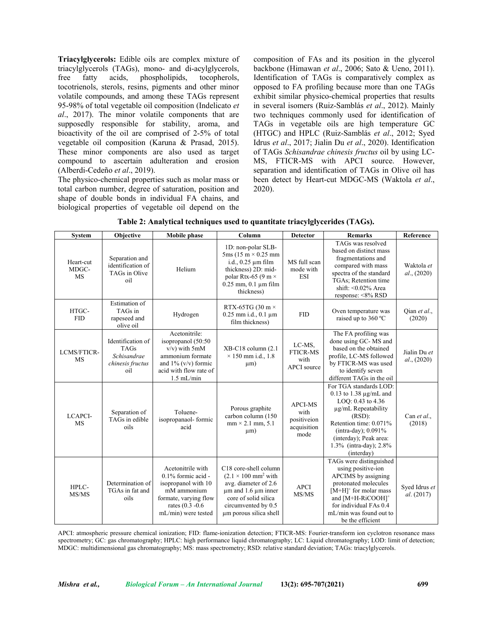**Triacylglycerols:** Edible oils are complex mixture of triacylglycerols (TAGs), mono- and di-acylglycerols, free fatty acids, phospholipids, tocopherols, tocotrienols, sterols, resins, pigments and other minor volatile compounds, and among these TAGs represent 95-98% of total vegetable oil composition (Indelicato *et al*., 2017). The minor volatile components that are supposedly responsible for stability, aroma, and bioactivity of the oil are comprised of 2-5% of total vegetable oil composition (Karuna & Prasad, 2015). These minor components are also used as target compound to ascertain adulteration and erosion (Alberdi-Cedeño *et al*., 2019).

The physico-chemical properties such as molar mass or total carbon number, degree of saturation, position and shape of double bonds in individual FA chains, and biological properties of vegetable oil depend on the composition of FAs and its position in the glycerol backbone (Himawan *et al*., 2006; Sato & Ueno, 2011). Identification of TAGs is comparatively complex as opposed to FA profiling because more than one TAGs exhibit similar physico-chemical properties that results in several isomers (Ruiz-Samblás *et al*., 2012). Mainly two techniques commonly used for identification of TAGs in vegetable oils are high temperature GC (HTGC) and HPLC (Ruiz-Samblás *et al*., 2012; Syed Idrus *et al*., 2017; Jialin Du *et al*., 2020). Identification of TAGs *Schisandrae chinesis fructus* oil by using LC-MS, FTICR-MS with APCI source. However, separation and identification of TAGs in Olive oil has been detect by Heart-cut MDGC-MS (Waktola *et al*., 2020).

| Table 2: Analytical techniques used to quantitate triacylglycerides (TAGs). |  |  |
|-----------------------------------------------------------------------------|--|--|
|                                                                             |  |  |

| <b>System</b>                   | Objective                                                                  | <b>Mobile</b> phase                                                                                                                               | Column                                                                                                                                                                                       | <b>Detector</b>                                              | <b>Remarks</b>                                                                                                                                                                                                                                | Reference                   |
|---------------------------------|----------------------------------------------------------------------------|---------------------------------------------------------------------------------------------------------------------------------------------------|----------------------------------------------------------------------------------------------------------------------------------------------------------------------------------------------|--------------------------------------------------------------|-----------------------------------------------------------------------------------------------------------------------------------------------------------------------------------------------------------------------------------------------|-----------------------------|
| Heart-cut<br>MDGC-<br><b>MS</b> | Separation and<br>identification of<br>TAGs in Olive<br>oil                | Helium                                                                                                                                            | 1D: non-polar SLB-<br>$5ms(15 m \times 0.25 mm)$<br>i.d., $0.25 \mu m$ film<br>thickness) 2D: mid-<br>polar Rtx-65 (9 m $\times$<br>$0.25$ mm, $0.1 \mu m$ film<br>thickness)                | MS full scan<br>mode with<br><b>ESI</b>                      | TAGs was resolved<br>based on distinct mass<br>fragmentations and<br>compared with mass<br>spectra of the standard<br>TGAs; Retention time<br>shift: $\leq 0.02\%$ Area<br>response: <8% RSD                                                  | Waktola et<br>al., (2020)   |
| HTGC-<br><b>FID</b>             | <b>Estimation</b> of<br>TAGs in<br>rapeseed and<br>olive oil               | Hydrogen                                                                                                                                          | RTX-65TG (30 m $\times$<br>$0.25$ mm i.d., $0.1$ µm<br>film thickness)                                                                                                                       | <b>FID</b>                                                   | Oven temperature was<br>raised up to 360 °C                                                                                                                                                                                                   | Qian et al.,<br>(2020)      |
| <b>LCMS/FTICR-</b><br><b>MS</b> | Identification of<br><b>TAGs</b><br>Schisandrae<br>chinesis fructus<br>oil | Acetonitrile:<br>isopropanol (50:50<br>$v/v$ ) with $5mM$<br>ammonium formate<br>and $1\%$ (v/v) formic<br>acid with flow rate of<br>$1.5$ mL/min | XB-C18 column (2.1)<br>$\times$ 150 mm i.d., 1.8<br>$\mu$ m)                                                                                                                                 | LC-MS.<br><b>FTICR-MS</b><br>with<br><b>APCI</b> source      | The FA profiling was<br>done using GC-MS and<br>based on the obtained<br>profile, LC-MS followed<br>by FTICR-MS was used<br>to identify seven<br>different TAGs in the oil                                                                    | Jialin Du et<br>al., (2020) |
| LCAPCI-<br><b>MS</b>            | Separation of<br>TAGs in edible<br>oils                                    | Toluene-<br>isopropanaol-formic<br>acid                                                                                                           | Porous graphite<br>carbon column (150<br>$mm \times 2.1 mm, 5.1$<br>$\mu$ m)                                                                                                                 | <b>APCI-MS</b><br>with<br>positiveion<br>acquisition<br>mode | For TGA standards LOD:<br>0.13 to 1.38 $\mu$ g/mL and<br>LOO: 0.43 to 4.36<br>µg/mL Repeatability<br>$(RSD)$ :<br>Retention time: 0.071%<br>(intra-day); $0.091\%$<br>(interday); Peak area:<br>1.3% (intra-day); 2.8%<br>(interday)          | Can et al.,<br>(2018)       |
| HPLC-<br>MS/MS                  | Determination of<br>TGAs in fat and<br>oils                                | Acetonitrile with<br>0.1% formic acid -<br>isopropanol with 10<br>mM ammonium<br>formate, varying flow<br>rates (0.3 -0.6<br>mL/min) were tested  | C18 core-shell column<br>$(2.1 \times 100 \text{ mm}^2 \text{ with}$<br>avg. diameter of 2.6<br>um and 1.6 um inner<br>core of solid silica<br>circumvented by 0.5<br>um porous silica shell | <b>APCI</b><br>MS/MS                                         | TAGs were distinguished<br>using positive-ion<br>APCIMS by assigning<br>protonated molecules<br>$[M+H]$ <sup>+</sup> for molar mass<br>and [M+H-RiCOOH] <sup>+</sup><br>for individual FAs 0.4<br>mL/min was found out to<br>be the efficient | Sved Idrus et<br>al. (2017) |

APCI: atmospheric pressure chemical ionization; FID: flame-ionization detection; FTICR-MS: Fourier-transform ion cyclotron resonance mass spectrometry; GC: gas chromatography; HPLC: high performance liquid chromatography; LC: Liquid chromatography; LOD: limit of detection; MDGC: multidimensional gas chromatography; MS: mass spectrometry; RSD: relative standard deviation; TAGs: triacylglycerols.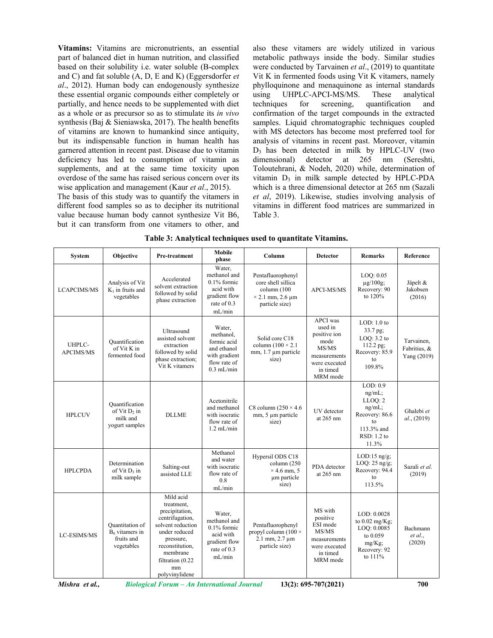**Vitamins:** Vitamins are micronutrients, an essential part of balanced diet in human nutrition, and classified based on their solubility i.e. water soluble (B-complex and C) and fat soluble (A, D, E and K) (Eggersdorfer *et al*., 2012). Human body can endogenously synthesize these essential organic compounds either completely or partially, and hence needs to be supplemented with diet as a whole or as precursor so as to stimulate its *in vivo* synthesis (Baj & Sieniawska, 2017). The health benefits of vitamins are known to humankind since antiquity, but its indispensable function in human health has garnered attention in recent past. Disease due to vitamin deficiency has led to consumption of vitamin as supplements, and at the same time toxicity upon overdose of the same has raised serious concern over its wise application and management (Kaur *et al*., 2015).

The basis of this study was to quantify the vitamers in different food samples so as to decipher its nutritional value because human body cannot synthesize Vit B6, but it can transform from one vitamers to other, and also these vitamers are widely utilized in various metabolic pathways inside the body. Similar studies were conducted by Tarvainen *et al*., (2019) to quantitate Vit K in fermented foods using Vit K vitamers, namely phylloquinone and menaquinone as internal standards using UHPLC-APCI-MS/MS. These analytical techniques for screening, quantification and confirmation of the target compounds in the extracted samples. Liquid chromatographic techniques coupled with MS detectors has become most preferred tool for analysis of vitamins in recent past. Moreover, vitamin D3 has been detected in milk by HPLC-UV (two dimensional) detector at 265 nm (Sereshti, Toloutehrani, & Nodeh, 2020) while, determination of vitamin  $D_3$  in milk sample detected by HPLC-PDA which is a three dimensional detector at 265 nm (Sazali *et al*, 2019). Likewise, studies involving analysis of vitamins in different food matrices are summarized in Table 3.

| <b>System</b>              | Objective                                                              | Pre-treatment                                                                                                                                                                              | Mobile<br>phase                                                                                    | Column                                                                                              | <b>Detector</b>                                                                                                      | <b>Remarks</b>                                                                                          | Reference                                 |
|----------------------------|------------------------------------------------------------------------|--------------------------------------------------------------------------------------------------------------------------------------------------------------------------------------------|----------------------------------------------------------------------------------------------------|-----------------------------------------------------------------------------------------------------|----------------------------------------------------------------------------------------------------------------------|---------------------------------------------------------------------------------------------------------|-------------------------------------------|
| <b>LCAPCIMS/MS</b>         | Analysis of Vit<br>$K_1$ in fruits and<br>vegetables                   | Accelerated<br>solvent extraction<br>followed by solid<br>phase extraction                                                                                                                 | Water,<br>methanol and<br>$0.1\%$ formic<br>acid with<br>gradient flow<br>rate of 0.3<br>mL/min    | Pentafluorophenyl<br>core shell sillica<br>column (100<br>$\times$ 2.1 mm, 2.6 µm<br>particle size) | <b>APCI-MS/MS</b>                                                                                                    | LOO: 0.05<br>$\mu$ g/100g;<br>Recovery: 90<br>to 120%                                                   | Jäpelt &<br>Jakobsen<br>(2016)            |
| UHPLC-<br><b>APCIMS/MS</b> | Ouantification<br>of Vit K in<br>fermented food                        | <b>Ultrasound</b><br>assisted solvent<br>extraction<br>followed by solid<br>phase extraction;<br>Vit K vitamers                                                                            | Water,<br>methanol.<br>formic acid<br>and ethanol<br>with gradient<br>flow rate of<br>$0.3$ mL/min | Solid core C18<br>column $(100 \times 2.1)$<br>mm, 1.7 µm particle<br>size)                         | <b>APCI</b> was<br>used in<br>positive ion<br>mode<br>MS/MS<br>measurements<br>were executed<br>in timed<br>MRM mode | LOD: 1.0 to<br>33.7 pg;<br>LOO: $3.2$ to<br>112.2 pg;<br>Recovery: 85.9<br>$f_{\Omega}$<br>109.8%       | Tarvainen.<br>Fabritius, &<br>Yang (2019) |
| <b>HPLCUV</b>              | Ouantification<br>of Vit $D_2$ in<br>milk and<br>yogurt samples        | <b>DLLME</b>                                                                                                                                                                               | Acetonitrile<br>and methanol<br>with isocratic<br>flow rate of<br>$1.2$ mL/min                     | C8 column $(250 \times 4.6)$<br>mm, 5 µm particle<br>size)                                          | <b>IJV</b> detector<br>at $265 \text{ nm}$                                                                           | LOD: 0.9<br>ng/mL;<br>LLOO: 2<br>ng/mL;<br>Recovery: 86.6<br>to<br>113.3% and<br>$RSD: 1.2$ to<br>11.3% | Ghalebi et<br>al., (2019)                 |
| <b>HPLCPDA</b>             | Determination<br>of Vit $D_3$ in<br>milk sample                        | Salting-out<br>assisted LLE                                                                                                                                                                | Methanol<br>and water<br>with isocratic<br>flow rate of<br>0.8<br>mL/min                           | Hypersil ODS C18<br>column (250<br>$\times$ 4.6 mm, 5<br>um particle<br>size)                       | PDA detector<br>at $265 \text{ nm}$                                                                                  | $LOD:15$ ng/g;<br>LOQ: $25$ ng/g;<br>Recovery: 94.4<br>to<br>113.5%                                     | Sazali et al.<br>(2019)                   |
| LC-ESIMS/MS                | <b>Ouantitation</b> of<br>$B6$ vitamers in<br>fruits and<br>vegetables | Mild acid<br>treatment,<br>precipitation,<br>centrifugation,<br>solvent reduction<br>under reduced<br>pressure,<br>reconstitution.<br>membrane<br>filtration (0.22<br>mm<br>polyvinylidene | Water.<br>methanol and<br>$0.1\%$ formic<br>acid with<br>gradient flow<br>rate of $0.3$<br>mL/min  | Pentafluorophenyl<br>propyl column (100 $\times$<br>$2.1$ mm, $2.7 \mu m$<br>particle size)         | MS with<br>positive<br>ESI mode<br>MS/MS<br>measurements<br>were executed<br>in timed<br>MRM mode                    | LOD: 0.0028<br>to 0.02 mg/Kg;<br>LOQ: 0.0085<br>to 0.059<br>$mg/Kg$ ;<br>Recovery: 92<br>to $111\%$     | Bachmann<br>et al.<br>(2020)              |

**Table 3: Analytical techniques used to quantitate Vitamins.**

*Mishra et al., Biological Forum – An International Journal* **13(2): 695-707(2021) 700**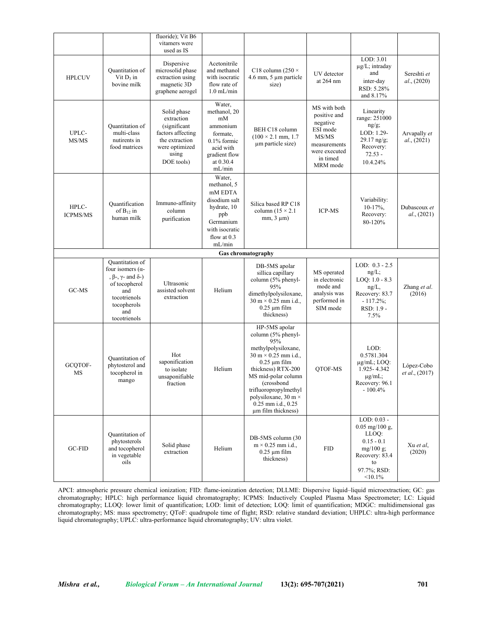|                          |                                                                                                                                                                      | fluoride); Vit B6<br>vitamers were<br>used as IS                                                                           |                                                                                                                                   |                                                                                                                                                                                                                                                                                                              |                                                                                                                        |                                                                                                                          |                              |
|--------------------------|----------------------------------------------------------------------------------------------------------------------------------------------------------------------|----------------------------------------------------------------------------------------------------------------------------|-----------------------------------------------------------------------------------------------------------------------------------|--------------------------------------------------------------------------------------------------------------------------------------------------------------------------------------------------------------------------------------------------------------------------------------------------------------|------------------------------------------------------------------------------------------------------------------------|--------------------------------------------------------------------------------------------------------------------------|------------------------------|
| <b>HPLCUV</b>            | Quantitation of<br>Vit $D_3$ in<br>bovine milk                                                                                                                       | Dispersive<br>microsolid phase<br>extraction using<br>magnetic 3D<br>graphene aerogel                                      | Acetonitrile<br>and methanol<br>with isocratic<br>flow rate of<br>$1.0$ mL/min                                                    | C18 column (250 $\times$<br>4.6 mm, 5 µm particle<br>size)                                                                                                                                                                                                                                                   | UV detector<br>at 264 nm                                                                                               | LOD: 3.01<br>$\mu$ g/L; intraday<br>and<br>inter-day<br>RSD: 5.28%<br>and 8.17%                                          | Sereshti et<br>al., (2020)   |
| UPLC-<br>MS/MS           | <b>Ouantitation</b> of<br>multi-class<br>nutirents in<br>food matrices                                                                                               | Solid phase<br>extraction<br>(significant)<br>factors affecting<br>the extraction<br>were optimized<br>using<br>DOE tools) | Water,<br>methanol, 20<br>mM<br>ammonium<br>formate.<br>$0.1\%$ formic<br>acid with<br>gradient flow<br>at $0.30.4$<br>mL/min     | BEH C18 column<br>$(100 \times 2.1$ mm, 1.7<br>µm particle size)                                                                                                                                                                                                                                             | MS with both<br>positive and<br>negative<br>ESI mode<br>MS/MS<br>measurements<br>were executed<br>in timed<br>MRM mode | Linearity<br>range: 251000<br>$ng/g$ ;<br>LOD: 1.29-<br>$29.17$ ng/g;<br>Recovery:<br>$72.53 -$<br>10.4.24%              | Arvapally et<br>al., (2021)  |
| HPLC-<br><b>ICPMS/MS</b> | Ouantification<br>of $B_{12}$ in<br>human milk                                                                                                                       | Immuno-affinity<br>column<br>purification                                                                                  | Water,<br>methanol, 5<br>mM EDTA<br>disodium salt<br>hydrate, 10<br>ppb<br>Germanium<br>with isocratic<br>flow at $0.3$<br>mL/min | Silica based RP C18<br>column $(15 \times 2.1)$<br>$mm, 3 \mu m)$                                                                                                                                                                                                                                            | <b>ICP-MS</b>                                                                                                          | Variability:<br>$10-17%$ ,<br>Recovery:<br>80-120%                                                                       | Dubascoux et<br>al., (2021)  |
|                          |                                                                                                                                                                      |                                                                                                                            |                                                                                                                                   | Gas chromatography                                                                                                                                                                                                                                                                                           |                                                                                                                        |                                                                                                                          |                              |
| GC-MS                    | Quantitation of<br>four isomers $(\alpha$ -<br>, $\beta$ -, $\gamma$ - and $\delta$ -)<br>of tocopherol<br>and<br>tocotrienols<br>tocopherols<br>and<br>tocotrienols | Ultrasonic<br>assisted solvent<br>extraction                                                                               | Helium                                                                                                                            | DB-5MS apolar<br>sillica capillary<br>column (5% phenyl-<br>95%<br>dimethylpolysiloxane,<br>$30 \text{ m} \times 0.25 \text{ mm}$ i.d.,<br>$0.25 \mu m$ film<br>thickness)                                                                                                                                   | MS operated<br>in electronic<br>mode and<br>analysis was<br>performed in<br>SIM mode                                   | LOD: $0.3 - 2.5$<br>$ng/L$ ;<br>$LOQ: 1.0 - 8.3$<br>$ng/L$ ,<br>Recovery: 83.7<br>$-117.2\%$ ;<br>RSD: 1.9 -<br>7.5%     | Zhang et al.<br>(2016)       |
| GCQTOF-<br>MS            | Quantitation of<br>phytosterol and<br>tocopherol in<br>mango                                                                                                         | Hot<br>saponification<br>to isolate<br>unsaponifiable<br>fraction                                                          | Helium                                                                                                                            | HP-5MS apolar<br>column (5% phenyl-<br>95%<br>methylpolysiloxane,<br>$30 \text{ m} \times 0.25 \text{ mm}$ i.d.,<br>$0.25 \mu m$ film<br>thickness) RTX-200<br>MS mid-polar column<br>(crossbond<br>trifluoropropylmethyl<br>polysiloxane, $30 \text{ m} \times$<br>0.25 mm i.d., 0.25<br>um film thickness) | QTOF-MS                                                                                                                | LOD:<br>0.5781.304<br>$\mu$ g/mL; LOQ:<br>1.925-4.342<br>$\mu$ g/mL;<br>Recovery: 96.1<br>$-100.4\%$                     | López-Cobo<br>et al., (2017) |
| GC-FID                   | Quantitation of<br>phytosterols<br>and tocopherol<br>in vegetable<br>oils                                                                                            | Solid phase<br>extraction                                                                                                  | Helium                                                                                                                            | DB-5MS column (30<br>$m \times 0.25$ mm i.d.,<br>$0.25 \mu m$ film<br>thickness)                                                                                                                                                                                                                             | <b>FID</b>                                                                                                             | LOD: 0.03 -<br>$0.05$ mg/100 g,<br>LLOQ:<br>$0.15 - 0.1$<br>$mg/100$ g;<br>Recovery: 83.4<br>to<br>97.7%; RSD:<br><10.1% | Xu et al,<br>(2020)          |

APCI: atmospheric pressure chemical ionization; FID: flame-ionization detection; DLLME: Dispersive liquid–liquid microextraction; GC: gas chromatography; HPLC: high performance liquid chromatography; ICPMS: Inductively Coupled Plasma Mass Spectrometer; LC: Liquid chromatography; LLOQ: lower limit of quantification; LOD: limit of detection; LOQ: limit of quantification; MDGC: multidimensional gas chromatography; MS: mass spectrometry; QToF: quadrupole time of flight; RSD: relative standard deviation; UHPLC: ultra-high performance liquid chromatography; UPLC: ultra-performance liquid chromatography; UV: ultra violet.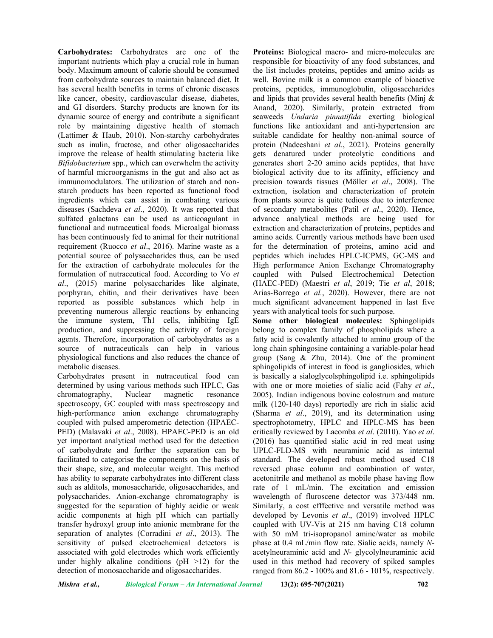**Carbohydrates:** Carbohydrates are one of the important nutrients which play a crucial role in human body. Maximum amount of calorie should be consumed from carbohydrate sources to maintain balanced diet. It has several health benefits in terms of chronic diseases like cancer, obesity, cardiovascular disease, diabetes, and GI disorders. Starchy products are known for its dynamic source of energy and contribute a significant role by maintaining digestive health of stomach (Lattimer & Haub, 2010). Non-starchy carbohydrates such as inulin, fructose, and other oligosaccharides improve the release of health stimulating bacteria like *Bifidobacterium* spp., which can overwhelm the activity of harmful microorganisms in the gut and also act as immunomodulators. The utilization of starch and nonstarch products has been reported as functional food ingredients which can assist in combating various diseases (Sachdeva *et al*., 2020). It was reported that sulfated galactans can be used as anticoagulant in functional and nutraceutical foods. Microalgal biomass has been continuously fed to animal for their nutritional requirement (Ruocco *et al*., 2016). Marine waste as a potential source of polysaccharides thus, can be used for the extraction of carbohydrate molecules for the formulation of nutraceutical food. According to Vo *et al*., (2015) marine polysaccharides like alginate, porphyran, chitin, and their derivatives have been reported as possible substances which help in preventing numerous allergic reactions by enhancing the immune system, Th1 cells, inhibiting IgE production, and suppressing the activity of foreign agents. Therefore, incorporation of carbohydrates as a source of nutraceuticals can help in various physiological functions and also reduces the chance of metabolic diseases.

Carbohydrates present in nutraceutical food can determined by using various methods such HPLC, Gas chromatography, Nuclear magnetic resonance spectroscopy, GC coupled with mass spectroscopy and high-performance anion exchange chromatography coupled with pulsed amperometric detection (HPAEC-PED) (Malavaki *et al*., 2008). HPAEC-PED is an old yet important analytical method used for the detection of carbohydrate and further the separation can be facilitated to categorise the components on the basis of their shape, size, and molecular weight. This method has ability to separate carbohydrates into different class such as alditols, monosaccharide, oligosaccharides, and polysaccharides. Anion-exchange chromatography is suggested for the separation of highly acidic or weak acidic components at high pH which can partially transfer hydroxyl group into anionic membrane for the separation of analytes (Corradini *et al*., 2013). The sensitivity of pulsed electrochemical detectors is associated with gold electrodes which work efficiently under highly alkaline conditions ( $pH > 12$ ) for the detection of monosaccharide and oligosaccharides.

**Proteins:** Biological macro- and micro-molecules are responsible for bioactivity of any food substances, and the list includes proteins, peptides and amino acids as well. Bovine milk is a common example of bioactive proteins, peptides, immunoglobulin, oligosaccharides and lipids that provides several health benefits (Minj  $\&$ Anand, 2020). Similarly, protein extracted from seaweeds *Undaria pinnatifida* exerting biological functions like antioxidant and anti-hypertension are suitable candidate for healthy non-animal source of protein (Nadeeshani *et al*., 2021). Proteins generally gets denatured under proteolytic conditions and generates short 2-20 amino acids peptides, that have biological activity due to its affinity, efficiency and precision towards tissues (Möller *et al*., 2008). The extraction, isolation and characterization of protein from plants source is quite tedious due to interference of secondary metabolites (Patil *et al*., 2020). Hence, advance analytical methods are being used for extraction and characterization of proteins, peptides and amino acids. Currently various methods have been used for the determination of proteins, amino acid and peptides which includes HPLC-ICPMS, GC-MS and High performance Anion Exchange Chromatography coupled with Pulsed Electrochemical Detection (HAEC-PED) (Maestri *et al*, 2019; Tie *et al*, 2018; Arias-Borrego *et al.*, 2020). However, there are not much significant advancement happened in last five years with analytical tools for such purpose.

**Some other biological molecules:** Sphingolipids belong to complex family of phospholipids where a fatty acid is covalently attached to amino group of the long chain sphingosine containing a variable-polar head group (Sang & Zhu, 2014). One of the prominent sphingolipids of interest in food is gangliosides, which is basically a sialoglycolsphingolipid i.e. sphingolipids with one or more moieties of sialic acid (Fahy *et al*., 2005). Indian indigenous bovine colostrum and mature milk (120-140 days) reportedly are rich in sialic acid (Sharma *et al*., 2019), and its determination using spectrophotometry, HPLC and HPLC-MS has been critically reviewed by Lacomba *et al*. (2010). Yao *et al*. (2016) has quantified sialic acid in red meat using UPLC-FLD-MS with neuraminic acid as internal standard. The developed robust method used C18 reversed phase column and combination of water, acetonitrile and methanol as mobile phase having flow rate of 1 mL/min. The excitation and emission wavelength of fluroscene detector was 373/448 nm. Similarly, a cost efffective and versatile method was developed by Levonis *et al*., (2019) involved HPLC coupled with UV-Vis at 215 nm having C18 column with 50 mM tri-isopropanol amine/water as mobile phase at 0.4 mL/min flow rate. Sialic acids, namely *N*acetylneuraminic acid and *N-* glycolylneuraminic acid used in this method had recovery of spiked samples ranged from 86.2 - 100% and 81.6 - 101%, respectively.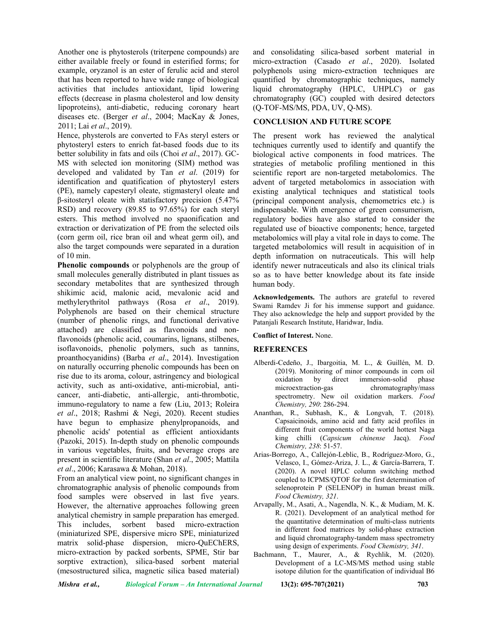Another one is phytosterols (triterpene compounds) are either available freely or found in esterified forms; for example, oryzanol is an ester of ferulic acid and sterol that has been reported to have wide range of biological activities that includes antioxidant, lipid lowering effects (decrease in plasma cholesterol and low density lipoproteins), anti-diabetic, reducing coronary heart diseases etc. (Berger *et al*., 2004; MacKay & Jones, 2011; Lai *et al*., 2019).

Hence, physterols are converted to FAs steryl esters or phytosteryl esters to enrich fat-based foods due to its better solubility in fats and oils (Choi *et al*., 2017). GC-MS with selected ion monitoring (SIM) method was developed and validated by Tan *et al*. (2019) for identification and quatification of phytosteryl esters (PE), namely capesteryl oleate, stigmasteryl oleate and β-sitosteryl oleate with statisfactory precision (5.47% RSD) and recovery (89.85 to 97.65%) for each steryl esters. This method involved no spaonification and extraction or derivatization of PE from the selected oils (corn germ oil, rice bran oil and wheat germ oil), and also the target compounds were separated in a duration of  $10 \text{ min}$ .

**Phenolic compounds** or polyphenols are the group of small molecules generally distributed in plant tissues as secondary metabolites that are synthesized through shikimic acid, malonic acid, mevalonic acid and methylerythritol pathways (Rosa *et al*., 2019). Polyphenols are based on their chemical structure (number of phenolic rings, and functional derivative attached) are classified as flavonoids and nonflavonoids (phenolic acid, coumarins, lignans, stilbenes, isoflavonoids, phenolic polymers, such as tannins, proanthocyanidins) (Barba *et al*., 2014). Investigation on naturally occurring phenolic compounds has been on rise due to its aroma, colour, astringency and biological activity, such as anti-oxidative, anti-microbial, anticancer, anti-diabetic, anti-allergic, anti-thrombotic, immuno-regulatory to name a few (Liu, 2013; Roleira *et al*., 2018; Rashmi & Negi, 2020). Recent studies have begun to emphasize phenylpropanoids, and phenolic acids' potential as efficient antioxidants (Pazoki, 2015). In-depth study on phenolic compounds in various vegetables, fruits, and beverage crops are present in scientific literature (Shan *et al*., 2005; Mattila *et al*., 2006; Karasawa & Mohan, 2018).

From an analytical view point, no significant changes in chromatographic analysis of phenolic compounds from food samples were observed in last five years. However, the alternative approaches following green analytical chemistry in sample preparation has emerged. This includes, sorbent based micro-extraction (miniaturized SPE, dispersive micro SPE, miniaturized matrix solid-phase dispersion, micro-QuEChERS, micro-extraction by packed sorbents, SPME, Stir bar sorptive extraction), silica-based sorbent material (mesostructured silica, magnetic silica based material)

and consolidating silica-based sorbent material in micro-extraction (Casado *et al*., 2020). Isolated polyphenols using micro-extraction techniques are quantified by chromatographic techniques, namely liquid chromatography (HPLC, UHPLC) or gas chromatography (GC) coupled with desired detectors (Q-TOF-MS/MS, PDA, UV, Q-MS).

## **CONCLUSION AND FUTURE SCOPE**

The present work has reviewed the analytical techniques currently used to identify and quantify the biological active components in food matrices. The strategies of metabolic profiling mentioned in this scientific report are non-targeted metabolomics. The advent of targeted metabolomics in association with existing analytical techniques and statistical tools (principal component analysis, chemometrics etc.) is indispensable. With emergence of green consumerism, regulatory bodies have also started to consider the regulated use of bioactive components; hence, targeted metabolomics will play a vital role in days to come. The targeted metabolomics will result in acquisition of in depth information on nutraceuticals. This will help identify newer nutraceuticals and also its clinical trials so as to have better knowledge about its fate inside human body.

**Acknowledgements.** The authors are grateful to revered Swami Ramdev Ji for his immense support and guidance. They also acknowledge the help and support provided by the Patanjali Research Institute, Haridwar, India.

#### **Conflict of Interest.** None.

### **REFERENCES**

- Alberdi-Cedeño, J., Ibargoitia, M. L., & Guillén, M. D. (2019). Monitoring of minor compounds in corn oil<br>oxidation by direct immersion-solid phase immersion-solid microextraction-gas chromatography/mass spectrometry. New oil oxidation markers. *Food Chemistry, 290*: 286-294.
- Ananthan, R., Subhash, K., & Longvah, T. (2018). Capsaicinoids, amino acid and fatty acid profiles in different fruit components of the world hottest Naga king chilli (*Capsicum chinense* Jacq). *Food Chemistry, 238*: 51-57.
- Arias-Borrego, A., Callejón-Leblic, B., Rodríguez-Moro, G., Velasco, I., Gómez-Ariza, J. L., & García-Barrera, T. (2020). A novel HPLC column switching method coupled to ICPMS/QTOF for the first determination of selenoprotein P (SELENOP) in human breast milk. *Food Chemistry, 321*.
- Arvapally, M., Asati, A., Nagendla, N. K., & Mudiam, M. K. R. (2021). Development of an analytical method for the quantitative determination of multi-class nutrients in different food matrices by solid-phase extraction and liquid chromatography-tandem mass spectrometry using design of experiments. *Food Chemistry, 341*.
- Bachmann, T., Maurer, A., & Rychlik, M. (2020). Development of a LC-MS/MS method using stable isotope dilution for the quantification of individual B6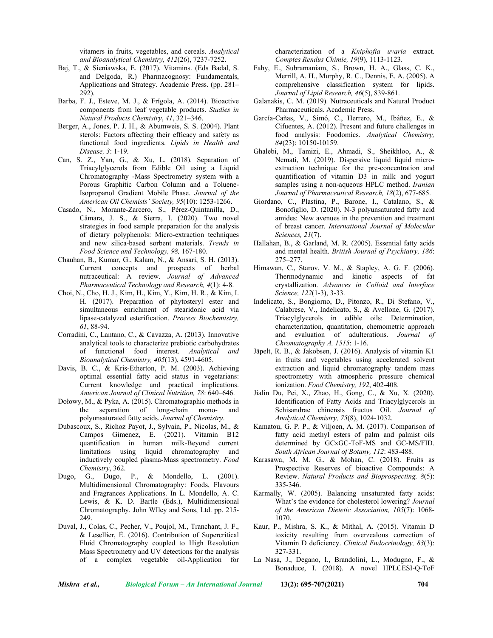vitamers in fruits, vegetables, and cereals. *Analytical and Bioanalytical Chemistry, 412*(26), 7237-7252.

- Baj, T., & Sieniawska, E. (2017). Vitamins. (Eds Badal, S. and Delgoda, R.) Pharmacognosy: Fundamentals, Applications and Strategy. Academic Press. (pp. 281– 292).
- Barba, F. J., Esteve, M. J., & Frígola, A. (2014). Bioactive components from leaf vegetable products. *Studies in Natural Products Chemistry*, *41*, 321–346.
- Berger, A., Jones, P. J. H., & Abumweis, S. S. (2004). Plant sterols: Factors affecting their efficacy and safety as functional food ingredients. *Lipids in Health and Disease, 3*: 1-19.
- Can, S. Z., Yan, G., & Xu, L. (2018). Separation of Triacylglycerols from Edible Oil using a Liquid Chromatography -Mass Spectrometry system with a Porous Graphitic Carbon Column and a Toluene-Isopropanol Gradient Mobile Phase. *Journal of the American Oil Chemists' Society, 95*(10): 1253-1266.
- Casado, N., Morante-Zarcero, S., Pérez-Quintanilla, D., Câmara, J. S., & Sierra, I. (2020). Two novel strategies in food sample preparation for the analysis of dietary polyphenols: Micro-extraction techniques and new silica-based sorbent materials. *Trends in Food Science and Technology, 98,* 167-180.
- Chauhan, B., Kumar, G., Kalam, N., & Ansari, S. H. (2013). Current concepts and prospects of herbal nutraceutical: A review. *Journal of Advanced Pharmaceutical Technology and Research, 4*(1): 4-8.
- Choi, N., Cho, H. J., Kim, H., Kim, Y., Kim, H. R., & Kim, I. H. (2017). Preparation of phytosteryl ester and simultaneous enrichment of stearidonic acid via lipase-catalyzed esterification. *Process Biochemistry, 61*, 88-94.
- Corradini, C., Lantano, C., & Cavazza, A. (2013). Innovative analytical tools to characterize prebiotic carbohydrates of functional food interest. *Analytical and Bioanalytical Chemistry, 405*(13), 4591-4605.
- Davis, B. C., & Kris-Etherton, P. M. (2003). Achieving optimal essential fatty acid status in vegetarians: Current knowledge and practical implications. *American Journal of Clinical Nutrition, 78*: 640–646.
- Dołowy, M., & Pyka, A. (2015). Chromatographic methods in the separation of long-chain mono- and polyunsaturated fatty acids. *Journal of Chemistry*.
- Dubascoux, S., Richoz Payot, J., Sylvain, P., Nicolas, M., & Campos Gimenez, E. (2021). Vitamin B12 quantification in human milk-Beyond current limitations using liquid chromatography and inductively coupled plasma-Mass spectrometry. *Food Chemistry*, 362.
- Dugo, G., Dugo, P., & Mondello, L. (2001). Multidimensional Chromatography: Foods, Flavours and Fragrances Applications. In L. Mondello, A. C. Lewis, & K. D. Bartle (Eds.), Multidimensional Chromatography. John WIley and Sons, Ltd. pp. 215- 249.
- Duval, J., Colas, C., Pecher, V., Poujol, M., Tranchant, J. F., & Lesellier, É. (2016). Contribution of Supercritical Fluid Chromatography coupled to High Resolution Mass Spectrometry and UV detections for the analysis of a complex vegetable oil-Application for

characterization of a *Kniphofia uvaria* extract. *Comptes Rendus Chimie, 19*(9), 1113-1123.

- Fahy, E., Subramaniam, S., Brown, H. A., Glass, C. K., Merrill, A. H., Murphy, R. C., Dennis, E. A. (2005). A comprehensive classification system for lipids. *Journal of Lipid Research, 46*(5), 839-861.
- Galanakis, C. M. (2019). Nutraceuticals and Natural Product Pharmaceuticals. Academic Press.
- García-Cañas, V., Simó, C., Herrero, M., Ibáñez, E., & Cifuentes, A. (2012). Present and future challenges in food analysis: Foodomics. *Analytical Chemistry, 84*(23): 10150-10159.
- Ghalebi, M., Tamizi, E., Ahmadi, S., Sheikhloo, A., & Nemati, M. (2019). Dispersive liquid liquid microextraction technique for the pre-concentration and quantification of vitamin D3 in milk and yogurt samples using a non-aqueous HPLC method. *Iranian Journal of Pharmaceutical Research, 18*(2), 677-685.
- Giordano, C., Plastina, P., Barone, I., Catalano, S., & Bonofiglio, D. (2020). N-3 polyunsaturated fatty acid amides: New avenues in the prevention and treatment of breast cancer. *International Journal of Molecular Sciences, 21*(7).
- Hallahan, B., & Garland, M. R. (2005). Essential fatty acids and mental health. *British Journal of Psychiatry, 186*: 275–277.
- Himawan, C., Starov, V. M., & Stapley, A. G. F. (2006). Thermodynamic and kinetic aspects of fat crystallization. *Advances in Colloid and Interface Science, 122*(1-3), 3-33.
- Indelicato, S., Bongiorno, D., Pitonzo, R., Di Stefano, V., Calabrese, V., Indelicato, S., & Avellone, G. (2017). Triacylglycerols in edible oils: Determination, characterization, quantitation, chemometric approach and evaluation of adulterations. *Journal of Chromatography A, 1515*: 1-16.
- Jäpelt, R. B., & Jakobsen, J. (2016). Analysis of vitamin K1 in fruits and vegetables using accelerated solvent extraction and liquid chromatography tandem mass spectrometry with atmospheric pressure chemical ionization. *Food Chemistry, 192*, 402-408.
- Jialin Du, Pei, X., Zhao, H., Gong, C., & Xu, X. (2020). Identification of Fatty Acids and Triacylglycerols in Schisandrae chinensis fructus Oil. *Journal of Analytical Chemistry, 75*(8), 1024-1032.
- Kamatou, G. P. P., & Viljoen, A. M. (2017). Comparison of fatty acid methyl esters of palm and palmist oils determined by GCxGC-ToF-MS and GC-MS/FID. *South African Journal of Botany, 112*: 483-488.
- Karasawa, M. M. G., & Mohan, C. (2018). Fruits as Prospective Reserves of bioactive Compounds: A Review. *Natural Products and Bioprospecting, 8*(5): 335-346.
- Karmally, W. (2005). Balancing unsaturated fatty acids: What's the evidence for cholesterol lowering? *Journal of the American Dietetic Association, 105*(7): 1068- 1070.
- Kaur, P., Mishra, S. K., & Mithal, A. (2015). Vitamin D toxicity resulting from overzealous correction of Vitamin D deficiency. *Clinical Endocrinology, 83*(3): 327-331.
- La Nasa, J., Degano, I., Brandolini, L., Modugno, F., & Bonaduce, I. (2018). A novel HPLCESI-Q-ToF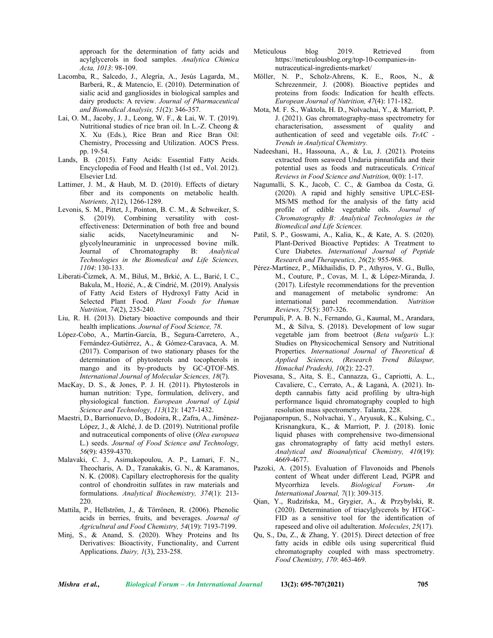approach for the determination of fatty acids and acylglycerols in food samples. *Analytica Chimica Acta, 1013*: 98-109.

- Lacomba, R., Salcedo, J., Alegría, A., Jesús Lagarda, M., Barberá, R., & Matencio, E. (2010). Determination of sialic acid and gangliosides in biological samples and dairy products: A review. *Journal of Pharmaceutical and Biomedical Analysis, 51*(2): 346-357.
- Lai, O. M., Jacoby, J. J., Leong, W. F., & Lai, W. T. (2019). Nutritional studies of rice bran oil. In L.-Z. Cheong & X. Xu (Eds.), Rice Bran and Rice Bran Oil: Chemistry, Processing and Utilization. AOCS Press. pp. 19-54.
- Lands, B. (2015). Fatty Acids: Essential Fatty Acids. Encyclopedia of Food and Health (1st ed., Vol. 2012). Elsevier Ltd.
- Lattimer, J. M., & Haub, M. D. (2010). Effects of dietary fiber and its components on metabolic health. *Nutrients, 2*(12), 1266-1289.
- Levonis, S. M., Pittet, J., Pointon, B. C. M., & Schweiker, S. S. (2019). Combining versatility with costeffectiveness: Determination of both free and bound<br>sialic acids. Nacetylneuraminic and Nsialic acids, Nacetylneuraminic and glycolylneuraminic in unprocessed bovine milk.<br>Journal of Chromatography B: Analytical Chromatography B: *Analytical Technologies in the Biomedical and Life Sciences, 1104*: 130-133.
- Liberati-Čizmek, A. M., Biluš, M., Brkić, A. L., Barić, I. C., Bakula, M., Hozić, A., & Cindrić, M. (2019). Analysis of Fatty Acid Esters of Hydroxyl Fatty Acid in Selected Plant Food. *Plant Foods for Human Nutrition, 74*(2), 235-240.
- Liu, R. H. (2013). Dietary bioactive compounds and their health implications. *Journal of Food Science, 78*.
- López-Cobo, A., Martín-García, B., Segura-Carretero, A., Fernández-Gutiérrez, A., & Gómez-Caravaca, A. M. (2017). Comparison of two stationary phases for the determination of phytosterols and tocopherols in mango and its by-products by GC-QTOF-MS. *International Journal of Molecular Sciences, 18*(7).
- MacKay, D. S., & Jones, P. J. H. (2011). Phytosterols in human nutrition: Type, formulation, delivery, and physiological function. *European Journal of Lipid Science and Technology, 113*(12): 1427-1432.
- Maestri, D., Barrionuevo, D., Bodoira, R., Zafra, A., Jiménez-López, J., & Alché, J. de D. (2019). Nutritional profile and nutraceutical components of olive (*Olea europaea* L.) seeds. *Journal of Food Science and Technology, 56*(9): 4359-4370.
- Malavaki, C. J., Asimakopoulou, A. P., Lamari, F. N., Theocharis, A. D., Tzanakakis, G. N., & Karamanos, N. K. (2008). Capillary electrophoresis for the quality control of chondroitin sulfates in raw materials and formulations. *Analytical Biochemistry, 374*(1): 213- 220.
- Mattila, P., Hellström, J., & Törrönen, R. (2006). Phenolic acids in berries, fruits, and beverages. *Journal of Agricultural and Food Chemistry, 54*(19): 7193-7199.
- Minj, S., & Anand, S. (2020). Whey Proteins and Its Derivatives: Bioactivity, Functionality, and Current Applications. *Dairy, 1*(3), 233-258.
- Meticulous blog 2019. Retrieved from [https://meticulousblog.org/top-10-companies-in](https://meticulousblog.org/top-10-companies-in-nutraceutical-ingredients-market/)[nutraceutical-ingredients-market/](https://meticulousblog.org/top-10-companies-in-nutraceutical-ingredients-market/)
- Möller, N. P., Scholz-Ahrens, K. E., Roos, N., & Schrezenmeir, J. (2008). Bioactive peptides and proteins from foods: Indication for health effects. *European Journal of Nutrition, 47*(4): 171-182.
- Mota, M. F. S., Waktola, H. D., Nolvachai, Y., & Marriott, P. J. (2021). Gas chromatography-mass spectrometry for characterisation, assessment of quality and authentication of seed and vegetable oils. *TrAC - Trends in Analytical Chemistry.*
- Nadeeshani, H., Hassouna, A., & Lu, J. (2021). Proteins extracted from seaweed Undaria pinnatifida and their potential uses as foods and nutraceuticals. *Critical Reviews in Food Science and Nutrition,* 0(0): 1-17.
- Nagumalli, S. K., Jacob, C. C., & Gamboa da Costa, G. (2020). A rapid and highly sensitive UPLC-ESI-MS/MS method for the analysis of the fatty acid profile of edible vegetable oils. *Journal of Chromatography B: Analytical Technologies in the Biomedical and Life Sciences.*
- Patil, S. P., Goswami, A., Kalia, K., & Kate, A. S. (2020). Plant-Derived Bioactive Peptides: A Treatment to Cure Diabetes. *International Journal of Peptide Research and Therapeutics, 26*(2): 955-968.
- Pérez-Martínez, P., Mikhailidis, D. P., Athyros, V. G., Bullo, M., Couture, P., Covas, M. I., & López-Miranda, J. (2017). Lifestyle recommendations for the prevention and management of metabolic syndrome: An international panel recommendation. *Nutrition Reviews, 75*(5): 307-326.
- Perumpuli, P. A. B. N., Fernando, G., Kaumal, M., Arandara, M., & Silva, S. (2018). Development of low sugar vegetable jam from beetroot (*Beta vulgaris* L.): Studies on Physicochemical Sensory and Nutritional Properties. *International Journal of Theoretical & Applied Sciences, (Research Trend Bilaspur, Himachal Pradesh), 10*(2): 22-27.
- Piovesana, S., Aita, S. E., Cannazza, G., Capriotti, A. L., Cavaliere, C., Cerrato, A., & Laganà, A. (2021). Indepth cannabis fatty acid profiling by ultra-high performance liquid chromatography coupled to high resolution mass spectrometry. Talanta, 228.
- Pojjanapornpun, S., Nolvachai, Y., Aryusuk, K., Kulsing, C., Krisnangkura, K., & Marriott, P. J. (2018). Ionic liquid phases with comprehensive two-dimensional gas chromatography of fatty acid methyl esters. *Analytical and Bioanalytical Chemistry, 410*(19): 4669-4677.
- Pazoki, A. (2015). Evaluation of Flavonoids and Phenols content of Wheat under different Lead, PGPR and Mycorrhiza levels. *Biological Forum- An International Journal, 7*(1): 309-315.
- Qian, Y., Rudzińska, M., Grygier, A., & Przybylski, R. (2020). Determination of triacylglycerols by HTGC-FID as a sensitive tool for the identification of rapeseed and olive oil adulteration. *Molecules*, *25*(17).
- Qu, S., Du, Z., & Zhang, Y. (2015). Direct detection of free fatty acids in edible oils using supercritical fluid chromatography coupled with mass spectrometry. *Food Chemistry, 170*: 463-469.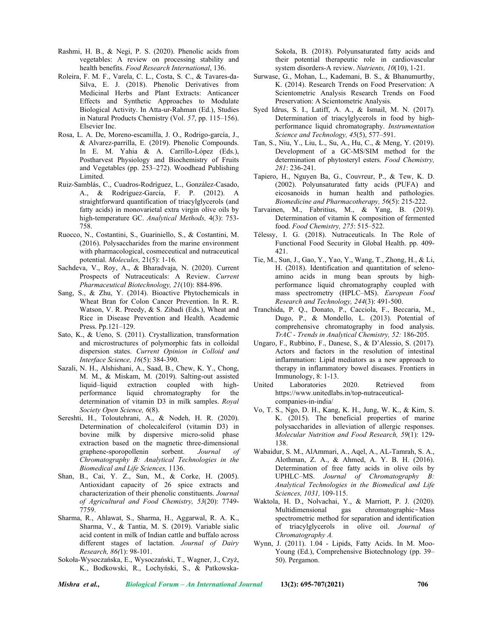- Rashmi, H. B., & Negi, P. S. (2020). Phenolic acids from vegetables: A review on processing stability and health benefits. *Food Research International*, 136.
- Roleira, F. M. F., Varela, C. L., Costa, S. C., & Tavares-da-Silva, E. J. (2018). Phenolic Derivatives from Medicinal Herbs and Plant Extracts: Anticancer Effects and Synthetic Approaches to Modulate Biological Activity. In Atta-ur-Rahman (Ed.), Studies in Natural Products Chemistry (Vol. *57*, pp. 115–156). Elsevier Inc.
- Rosa, L. A. De, Moreno-escamilla, J. O., Rodrigo-garcía, J., & Alvarez-parrilla, E. (2019). Phenolic Compounds. In E. M. Yahia & A. Carrillo-López (Eds.), Postharvest Physiology and Biochemistry of Fruits and Vegetables (pp. 253–272). Woodhead Publishing Limited.
- Ruiz-Samblás, C., Cuadros-Rodríguez, L., González-Casado, A., & Rodríguez-García, F. P. (2012). A straightforward quantification of triacylglycerols (and fatty acids) in monovarietal extra virgin olive oils by high-temperature GC. *Analytical Methods,* 4(3): 753- 758.
- Ruocco, N., Costantini, S., Guariniello, S., & Costantini, M. (2016). Polysaccharides from the marine environment with pharmacological, cosmeceutical and nutraceutical potential. *Molecules,* 21(5): 1-16.
- Sachdeva, V., Roy, A., & Bharadvaja, N. (2020). Current Prospects of Nutraceuticals: A Review. *Current Pharmaceutical Biotechnology, 21*(10): 884-896.
- Sang, S., & Zhu, Y. (2014). Bioactive Phytochemicals in Wheat Bran for Colon Cancer Prevention. In R. R. Watson, V. R. Preedy, & S. Zibadi (Eds.), Wheat and Rice in Disease Prevention and Health. Academic Press. Pp.121–129.
- Sato, K., & Ueno, S. (2011). Crystallization, transformation and microstructures of polymorphic fats in colloidal dispersion states. *Current Opinion in Colloid and Interface Science, 16*(5): 384-390.
- Sazali, N. H., Alshishani, A., Saad, B., Chew, K. Y., Chong, M. M., & Miskam, M. (2019). Salting-out assisted liquid–liquid extraction coupled with highperformance liquid chromatography for the determination of vitamin D3 in milk samples. *Royal Society Open Science, 6*(8).
- Sereshti, H., Toloutehrani, A., & Nodeh, H. R. (2020). Determination of cholecalciferol (vitamin D3) in bovine milk by dispersive micro-solid phase extraction based on the magnetic three-dimensional graphene-sporopollenin sorbent. *Journal of* graphene-sporopollenin sorbent. *Journal of Chromatography B: Analytical Technologies in the Biomedical and Life Sciences,* 1136.
- Shan, B., Cai, Y. Z., Sun, M., & Corke, H. (2005). Antioxidant capacity of 26 spice extracts and characterization of their phenolic constituents. *Journal of Agricultural and Food Chemistry, 53*(20): 7749- 7759.
- Sharma, R., Ahlawat, S., Sharma, H., Aggarwal, R. A. K., Sharma, V., & Tantia, M. S. (2019). Variable sialic acid content in milk of Indian cattle and buffalo across different stages of lactation. *Journal of Dairy Research, 86(*1): 98-101.
- Sokoła-Wysoczańska, E., Wysoczański, T., Wagner, J., Czyż, K., Bodkowski, R., Lochyński, S., & Patkowska-

Sokoła, B. (2018). Polyunsaturated fatty acids and their potential therapeutic role in cardiovascular system disorders-A review. *Nutrients, 10*(10), 1-21.

- Surwase, G., Mohan, L., Kademani, B. S., & Bhanumurthy, K. (2014). Research Trends on Food Preservation: A Scientometric Analysis Research Trends on Food Preservation: A Scientometric Analysis.
- Syed Idrus, S. I., Latiff, A. A., & Ismail, M. N. (2017). Determination of triacylglycerols in food by highperformance liquid chromatography. *Instrumentation Science and Technology, 45*(5), 577–591.
- Tan, S., Niu, Y., Liu, L., Su, A., Hu, C., & Meng, Y. (2019). Development of a GC-MS/SIM method for the determination of phytosteryl esters. *Food Chemistry, 281*: 236-241.
- Tapiero, H., Nguyen Ba, G., Couvreur, P., & Tew, K. D. (2002). Polyunsaturated fatty acids (PUFA) and eicosanoids in human health and pathologies. *Biomedicine and Pharmacotherapy, 56*(5): 215-222.
- Tarvainen, M., Fabritius, M., & Yang, B. (2019). Determination of vitamin K composition of fermented food. *Food Chemistry, 275*: 515–522.
- Télessy, I. G. (2018). Nutraceuticals. In The Role of Functional Food Security in Global Health. pp. 409- 421.
- Tie, M., Sun, J., Gao, Y., Yao, Y., Wang, T., Zhong, H., & Li, H. (2018). Identification and quantitation of selenoamino acids in mung bean sprouts by highperformance liquid chromatography coupled with mass spectrometry (HPLC–MS). *European Food Research and Technology, 244*(3): 491-500.
- Tranchida, P. Q., Donato, P., Cacciola, F., Beccaria, M., Dugo, P., & Mondello, L. (2013). Potential of comprehensive chromatography in food analysis. *TrAC - Trends in Analytical Chemistry, 52:* 186-205.
- Ungaro, F., Rubbino, F., Danese, S., & D'Alessio, S. (2017). Actors and factors in the resolution of intestinal inflammation: Lipid mediators as a new approach to therapy in inflammatory bowel diseases. Frontiers in Immunology, 8: 1-13.
- United Laboratories 2020. Retrieved from [https://www.unitedlabs.in/top-nutraceutical](https://www.unitedlabs.in/top-nutraceutical-companies-in-india/)[companies-in-india/](https://www.unitedlabs.in/top-nutraceutical-companies-in-india/)
- Vo, T. S., Ngo, D. H., Kang, K. H., Jung, W. K., & Kim, S. K. (2015). The beneficial properties of marine polysaccharides in alleviation of allergic responses. *Molecular Nutrition and Food Research, 59*(1): 129- 138.
- Wabaidur, S. M., AlAmmari, A., Aqel, A., AL-Tamrah, S. A., Alothman, Z. A., & Ahmed, A. Y. B. H. (2016). Determination of free fatty acids in olive oils by UPHLC–MS. *Journal of Chromatography B: Analytical Technologies in the Biomedical and Life Sciences, 1031,* 109-115.
- Waktola, H. D., Nolvachai, Y., & Marriott, P. J. (2020). Multidimensional gas chromatographic-Mass spectrometric method for separation and identification of triacylglycerols in olive oil. *Journal of Chromatography A.*
- Wynn, J. (2011). 1.04 Lipids, Fatty Acids. In M. Moo-Young (Ed.), Comprehensive Biotechnology (pp. 39– 50). Pergamon.